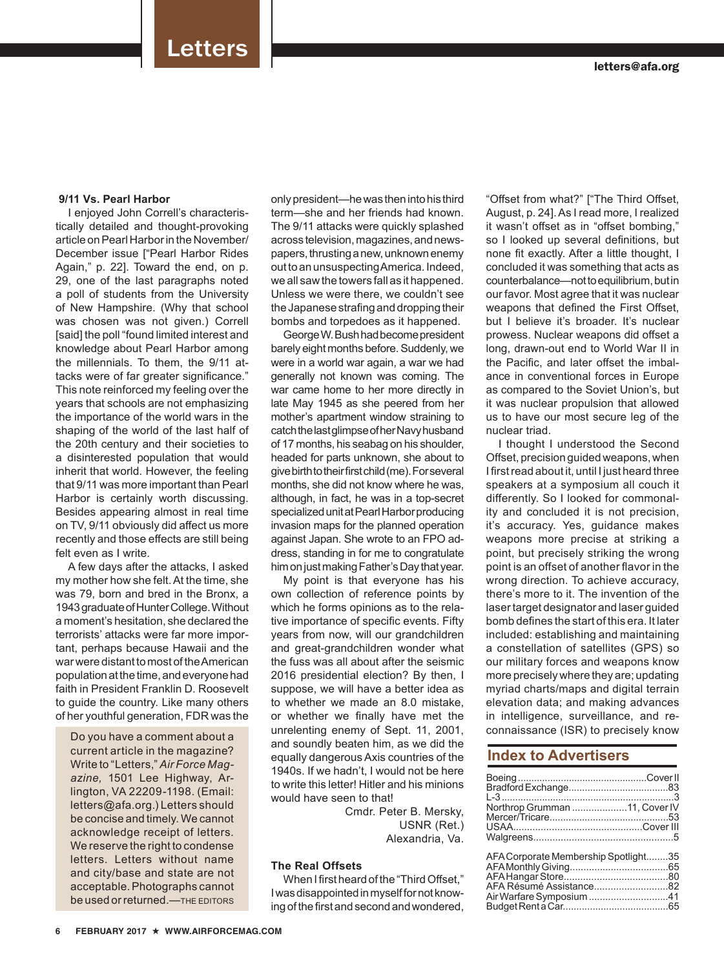### **9/11 Vs. Pearl Harbor**

I enjoyed John Correll's characteristically detailed and thought-provoking article on Pearl Harbor in the November/ December issue ["Pearl Harbor Rides Again," p. 22]. Toward the end, on p. 29, one of the last paragraphs noted a poll of students from the University of New Hampshire. (Why that school was chosen was not given.) Correll [said] the poll "found limited interest and knowledge about Pearl Harbor among the millennials. To them, the 9/11 attacks were of far greater significance." This note reinforced my feeling over the years that schools are not emphasizing the importance of the world wars in the shaping of the world of the last half of the 20th century and their societies to a disinterested population that would inherit that world. However, the feeling that 9/11 was more important than Pearl Harbor is certainly worth discussing. Besides appearing almost in real time on TV, 9/11 obviously did affect us more recently and those effects are still being felt even as I write.

A few days after the attacks, I asked my mother how she felt. At the time, she was 79, born and bred in the Bronx, a 1943 graduate of Hunter College. Without a moment's hesitation, she declared the terrorists' attacks were far more important, perhaps because Hawaii and the war were distant to most of the American population at the time, and everyone had faith in President Franklin D. Roosevelt to guide the country. Like many others of her youthful generation, FDR was the

Do you have a comment about a current article in the magazine? Write to "Letters," *Air Force Magazine,* 1501 Lee Highway, Arlington, VA 22209-1198. (Email: letters@afa.org.) Letters should be concise and timely. We cannot acknowledge receipt of letters. We reserve the right to condense letters. Letters without name and city/base and state are not acceptable. Photographs cannot be used or returned.—THE EDITORS

only president—he was then into his third term—she and her friends had known. The 9/11 attacks were quickly splashed across television, magazines, and newspapers, thrusting a new, unknown enemy out to an unsuspecting America. Indeed, we all saw the towers fall as it happened. Unless we were there, we couldn't see the Japanese strafing and dropping their bombs and torpedoes as it happened.

George W. Bush had become president barely eight months before. Suddenly, we were in a world war again, a war we had generally not known was coming. The war came home to her more directly in late May 1945 as she peered from her mother's apartment window straining to catch the last glimpse of her Navy husband of 17 months, his seabag on his shoulder, headed for parts unknown, she about to give birth to their first child (me). For several months, she did not know where he was, although, in fact, he was in a top-secret specialized unit at Pearl Harbor producing invasion maps for the planned operation against Japan. She wrote to an FPO address, standing in for me to congratulate him on just making Father's Day that year.

My point is that everyone has his own collection of reference points by which he forms opinions as to the relative importance of specific events. Fifty years from now, will our grandchildren and great-grandchildren wonder what the fuss was all about after the seismic 2016 presidential election? By then, I suppose, we will have a better idea as to whether we made an 8.0 mistake, or whether we finally have met the unrelenting enemy of Sept. 11, 2001, and soundly beaten him, as we did the equally dangerous Axis countries of the 1940s. If we hadn't, I would not be here to write this letter! Hitler and his minions would have seen to that!

> Cmdr. Peter B. Mersky, USNR (Ret.) Alexandria, Va.

## **The Real Offsets**

When I first heard of the "Third Offset," I was disappointed in myself for not knowing of the first and second and wondered,

"Offset from what?" ["The Third Offset, August, p. 24]. As I read more, I realized it wasn't offset as in "offset bombing," so I looked up several definitions, but none fit exactly. After a little thought, I concluded it was something that acts as counterbalance—not to equilibrium, but in our favor. Most agree that it was nuclear weapons that defined the First Offset, but I believe it's broader. It's nuclear prowess. Nuclear weapons did offset a long, drawn-out end to World War II in the Pacific, and later offset the imbalance in conventional forces in Europe as compared to the Soviet Union's, but it was nuclear propulsion that allowed us to have our most secure leg of the nuclear triad.

I thought I understood the Second Offset, precision guided weapons, when I first read about it, until I just heard three speakers at a symposium all couch it differently. So I looked for commonality and concluded it is not precision, it's accuracy. Yes, guidance makes weapons more precise at striking a point, but precisely striking the wrong point is an offset of another flavor in the wrong direction. To achieve accuracy, there's more to it. The invention of the laser target designator and laser guided bomb defines the start of this era. It later included: establishing and maintaining a constellation of satellites (GPS) so our military forces and weapons know more precisely where they are; updating myriad charts/maps and digital terrain elevation data; and making advances in intelligence, surveillance, and reconnaissance (ISR) to precisely know

## **Index to Advertisers**

| Northrop Grumman 11, Cover IV                                   |  |
|-----------------------------------------------------------------|--|
|                                                                 |  |
| AFA Corporate Membership Spotlight35<br>AFA Résumé Assistance82 |  |